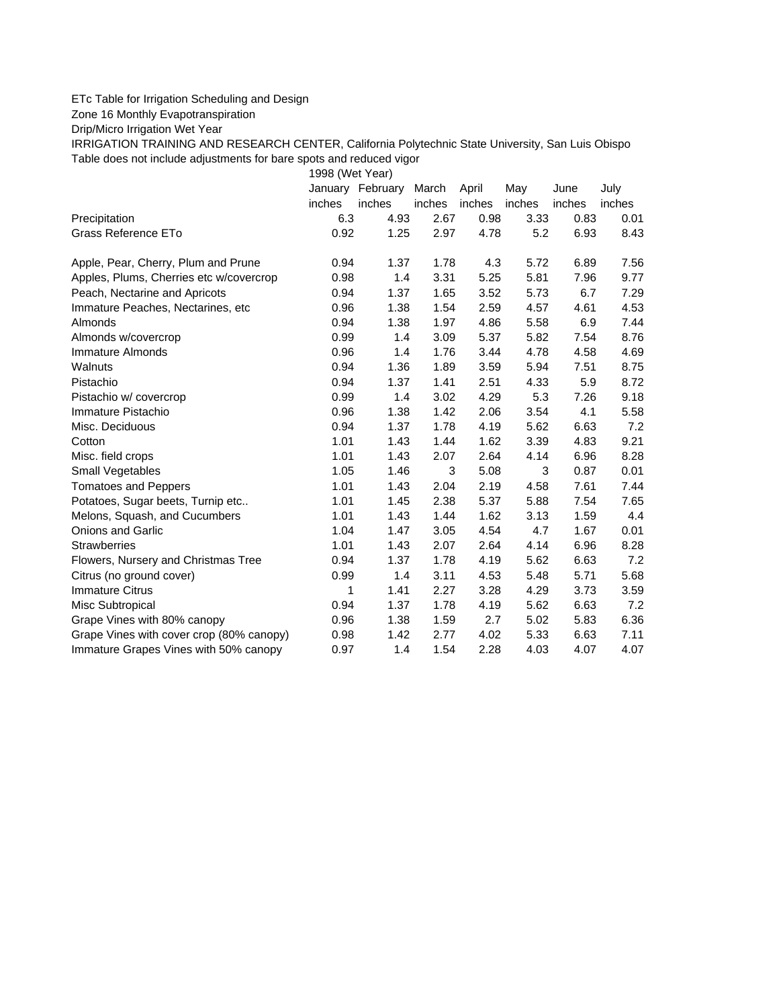## ETc Table for Irrigation Scheduling and Design

Zone 16 Monthly Evapotranspiration

Drip/Micro Irrigation Wet Year

IRRIGATION TRAINING AND RESEARCH CENTER, California Polytechnic State University, San Luis Obispo Table does not include adjustments for bare spots and reduced vigor

1998 (Wet Year)

|                                          |        | January February | March  | April  | May    | June   | July   |
|------------------------------------------|--------|------------------|--------|--------|--------|--------|--------|
|                                          | inches | inches           | inches | inches | inches | inches | inches |
| Precipitation                            | 6.3    | 4.93             | 2.67   | 0.98   | 3.33   | 0.83   | 0.01   |
| Grass Reference ETo                      | 0.92   | 1.25             | 2.97   | 4.78   | 5.2    | 6.93   | 8.43   |
| Apple, Pear, Cherry, Plum and Prune      | 0.94   | 1.37             | 1.78   | 4.3    | 5.72   | 6.89   | 7.56   |
| Apples, Plums, Cherries etc w/covercrop  | 0.98   | 1.4              | 3.31   | 5.25   | 5.81   | 7.96   | 9.77   |
| Peach, Nectarine and Apricots            | 0.94   | 1.37             | 1.65   | 3.52   | 5.73   | 6.7    | 7.29   |
| Immature Peaches, Nectarines, etc        | 0.96   | 1.38             | 1.54   | 2.59   | 4.57   | 4.61   | 4.53   |
| Almonds                                  | 0.94   | 1.38             | 1.97   | 4.86   | 5.58   | 6.9    | 7.44   |
| Almonds w/covercrop                      | 0.99   | 1.4              | 3.09   | 5.37   | 5.82   | 7.54   | 8.76   |
| Immature Almonds                         | 0.96   | 1.4              | 1.76   | 3.44   | 4.78   | 4.58   | 4.69   |
| Walnuts                                  | 0.94   | 1.36             | 1.89   | 3.59   | 5.94   | 7.51   | 8.75   |
| Pistachio                                | 0.94   | 1.37             | 1.41   | 2.51   | 4.33   | 5.9    | 8.72   |
| Pistachio w/ covercrop                   | 0.99   | 1.4              | 3.02   | 4.29   | 5.3    | 7.26   | 9.18   |
| Immature Pistachio                       | 0.96   | 1.38             | 1.42   | 2.06   | 3.54   | 4.1    | 5.58   |
| Misc. Deciduous                          | 0.94   | 1.37             | 1.78   | 4.19   | 5.62   | 6.63   | 7.2    |
| Cotton                                   | 1.01   | 1.43             | 1.44   | 1.62   | 3.39   | 4.83   | 9.21   |
| Misc. field crops                        | 1.01   | 1.43             | 2.07   | 2.64   | 4.14   | 6.96   | 8.28   |
| Small Vegetables                         | 1.05   | 1.46             | 3      | 5.08   | 3      | 0.87   | 0.01   |
| <b>Tomatoes and Peppers</b>              | 1.01   | 1.43             | 2.04   | 2.19   | 4.58   | 7.61   | 7.44   |
| Potatoes, Sugar beets, Turnip etc        | 1.01   | 1.45             | 2.38   | 5.37   | 5.88   | 7.54   | 7.65   |
| Melons, Squash, and Cucumbers            | 1.01   | 1.43             | 1.44   | 1.62   | 3.13   | 1.59   | 4.4    |
| <b>Onions and Garlic</b>                 | 1.04   | 1.47             | 3.05   | 4.54   | 4.7    | 1.67   | 0.01   |
| <b>Strawberries</b>                      | 1.01   | 1.43             | 2.07   | 2.64   | 4.14   | 6.96   | 8.28   |
| Flowers, Nursery and Christmas Tree      | 0.94   | 1.37             | 1.78   | 4.19   | 5.62   | 6.63   | 7.2    |
| Citrus (no ground cover)                 | 0.99   | 1.4              | 3.11   | 4.53   | 5.48   | 5.71   | 5.68   |
| <b>Immature Citrus</b>                   | 1      | 1.41             | 2.27   | 3.28   | 4.29   | 3.73   | 3.59   |
| Misc Subtropical                         | 0.94   | 1.37             | 1.78   | 4.19   | 5.62   | 6.63   | 7.2    |
| Grape Vines with 80% canopy              | 0.96   | 1.38             | 1.59   | 2.7    | 5.02   | 5.83   | 6.36   |
| Grape Vines with cover crop (80% canopy) | 0.98   | 1.42             | 2.77   | 4.02   | 5.33   | 6.63   | 7.11   |
| Immature Grapes Vines with 50% canopy    | 0.97   | 1.4              | 1.54   | 2.28   | 4.03   | 4.07   | 4.07   |